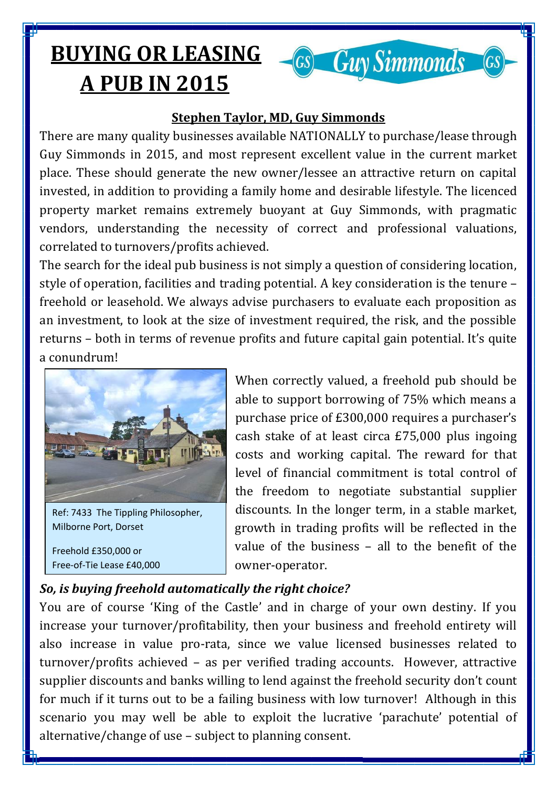## **BUYING OR LEASING A PUB IN 2015**



 $GS)$ 

There are many quality businesses available NATIONALLY to purchase/lease through Guy Simmonds in 2015, and most represent excellent value in the current market place. These should generate the new owner/lessee an attractive return on capital invested, in addition to providing a family home and desirable lifestyle. The licenced property market remains extremely buoyant at Guy Simmonds, with pragmatic vendors, understanding the necessity of correct and professional valuations, correlated to turnovers/profits achieved.

The search for the ideal pub business is not simply a question of considering location, style of operation, facilities and trading potential. A key consideration is the tenure – freehold or leasehold. We always advise purchasers to evaluate each proposition as an investment, to look at the size of investment required, the risk, and the possible returns – both in terms of revenue profits and future capital gain potential. It's quite a conundrum!



Ref: 7433 The Tippling Philosopher, Milborne Port, Dorset

Freehold £350,000 or Free-of-Tie Lease £40,000

When correctly valued, a freehold pub should be able to support borrowing of 75% which means a purchase price of £300,000 requires a purchaser's cash stake of at least circa £75,000 plus ingoing costs and working capital. The reward for that level of financial commitment is total control of the freedom to negotiate substantial supplier discounts. In the longer term, in a stable market, growth in trading profits will be reflected in the value of the business – all to the benefit of the owner-operator.

**Guy Simmonds** 

 $\overline{G}$ 

## *So, is buying freehold automatically the right choice?*

You are of course 'King of the Castle' and in charge of your own destiny. If you increase your turnover/profitability, then your business and freehold entirety will also increase in value pro-rata, since we value licensed businesses related to turnover/profits achieved – as per verified trading accounts. However, attractive supplier discounts and banks willing to lend against the freehold security don't count for much if it turns out to be a failing business with low turnover! Although in this scenario you may well be able to exploit the lucrative 'parachute' potential of alternative/change of use – subject to planning consent.